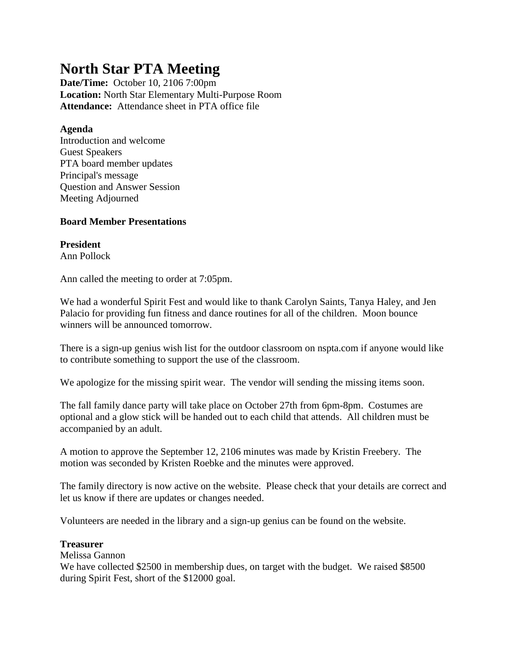# **North Star PTA Meeting**

**Date/Time:** October 10, 2106 7:00pm **Location:** North Star Elementary Multi-Purpose Room **Attendance:** Attendance sheet in PTA office file

## **Agenda**

Introduction and welcome Guest Speakers PTA board member updates Principal's message Question and Answer Session Meeting Adjourned

## **Board Member Presentations**

**President** Ann Pollock

Ann called the meeting to order at 7:05pm.

We had a wonderful Spirit Fest and would like to thank Carolyn Saints, Tanya Haley, and Jen Palacio for providing fun fitness and dance routines for all of the children. Moon bounce winners will be announced tomorrow.

There is a sign-up genius wish list for the outdoor classroom on nspta.com if anyone would like to contribute something to support the use of the classroom.

We apologize for the missing spirit wear. The vendor will sending the missing items soon.

The fall family dance party will take place on October 27th from 6pm-8pm. Costumes are optional and a glow stick will be handed out to each child that attends. All children must be accompanied by an adult.

A motion to approve the September 12, 2106 minutes was made by Kristin Freebery. The motion was seconded by Kristen Roebke and the minutes were approved.

The family directory is now active on the website. Please check that your details are correct and let us know if there are updates or changes needed.

Volunteers are needed in the library and a sign-up genius can be found on the website.

## **Treasurer**

Melissa Gannon

We have collected \$2500 in membership dues, on target with the budget. We raised \$8500 during Spirit Fest, short of the \$12000 goal.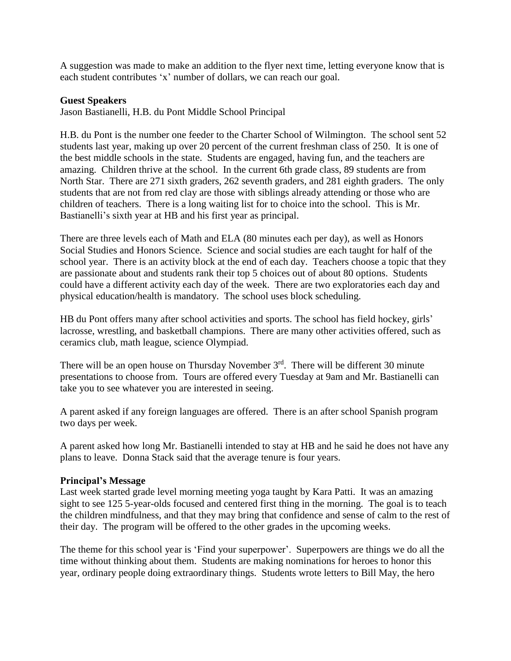A suggestion was made to make an addition to the flyer next time, letting everyone know that is each student contributes 'x' number of dollars, we can reach our goal.

#### **Guest Speakers**

Jason Bastianelli, H.B. du Pont Middle School Principal

H.B. du Pont is the number one feeder to the Charter School of Wilmington. The school sent 52 students last year, making up over 20 percent of the current freshman class of 250. It is one of the best middle schools in the state. Students are engaged, having fun, and the teachers are amazing. Children thrive at the school. In the current 6th grade class, 89 students are from North Star. There are 271 sixth graders, 262 seventh graders, and 281 eighth graders. The only students that are not from red clay are those with siblings already attending or those who are children of teachers. There is a long waiting list for to choice into the school. This is Mr. Bastianelli's sixth year at HB and his first year as principal.

There are three levels each of Math and ELA (80 minutes each per day), as well as Honors Social Studies and Honors Science. Science and social studies are each taught for half of the school year. There is an activity block at the end of each day. Teachers choose a topic that they are passionate about and students rank their top 5 choices out of about 80 options. Students could have a different activity each day of the week. There are two exploratories each day and physical education/health is mandatory. The school uses block scheduling.

HB du Pont offers many after school activities and sports. The school has field hockey, girls' lacrosse, wrestling, and basketball champions. There are many other activities offered, such as ceramics club, math league, science Olympiad.

There will be an open house on Thursday November 3<sup>rd</sup>. There will be different 30 minute presentations to choose from. Tours are offered every Tuesday at 9am and Mr. Bastianelli can take you to see whatever you are interested in seeing.

A parent asked if any foreign languages are offered. There is an after school Spanish program two days per week.

A parent asked how long Mr. Bastianelli intended to stay at HB and he said he does not have any plans to leave. Donna Stack said that the average tenure is four years.

### **Principal's Message**

Last week started grade level morning meeting yoga taught by Kara Patti. It was an amazing sight to see 125 5-year-olds focused and centered first thing in the morning. The goal is to teach the children mindfulness, and that they may bring that confidence and sense of calm to the rest of their day. The program will be offered to the other grades in the upcoming weeks.

The theme for this school year is 'Find your superpower'. Superpowers are things we do all the time without thinking about them. Students are making nominations for heroes to honor this year, ordinary people doing extraordinary things. Students wrote letters to Bill May, the hero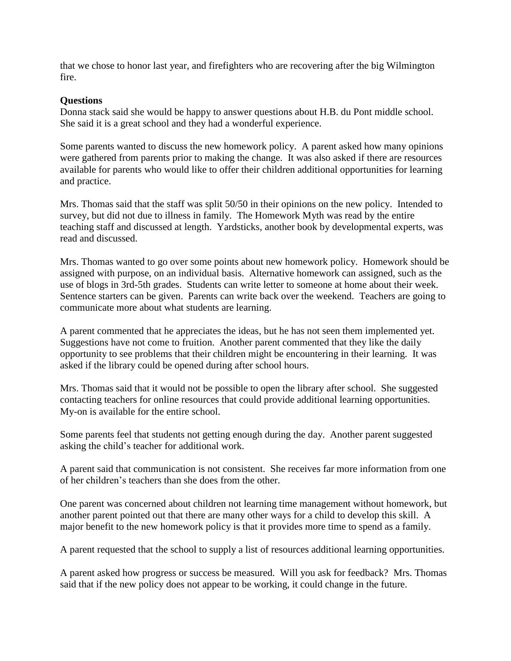that we chose to honor last year, and firefighters who are recovering after the big Wilmington fire.

#### **Questions**

Donna stack said she would be happy to answer questions about H.B. du Pont middle school. She said it is a great school and they had a wonderful experience.

Some parents wanted to discuss the new homework policy. A parent asked how many opinions were gathered from parents prior to making the change. It was also asked if there are resources available for parents who would like to offer their children additional opportunities for learning and practice.

Mrs. Thomas said that the staff was split 50/50 in their opinions on the new policy. Intended to survey, but did not due to illness in family. The Homework Myth was read by the entire teaching staff and discussed at length. Yardsticks, another book by developmental experts, was read and discussed.

Mrs. Thomas wanted to go over some points about new homework policy. Homework should be assigned with purpose, on an individual basis. Alternative homework can assigned, such as the use of blogs in 3rd-5th grades. Students can write letter to someone at home about their week. Sentence starters can be given. Parents can write back over the weekend. Teachers are going to communicate more about what students are learning.

A parent commented that he appreciates the ideas, but he has not seen them implemented yet. Suggestions have not come to fruition. Another parent commented that they like the daily opportunity to see problems that their children might be encountering in their learning. It was asked if the library could be opened during after school hours.

Mrs. Thomas said that it would not be possible to open the library after school. She suggested contacting teachers for online resources that could provide additional learning opportunities. My-on is available for the entire school.

Some parents feel that students not getting enough during the day. Another parent suggested asking the child's teacher for additional work.

A parent said that communication is not consistent. She receives far more information from one of her children's teachers than she does from the other.

One parent was concerned about children not learning time management without homework, but another parent pointed out that there are many other ways for a child to develop this skill. A major benefit to the new homework policy is that it provides more time to spend as a family.

A parent requested that the school to supply a list of resources additional learning opportunities.

A parent asked how progress or success be measured. Will you ask for feedback? Mrs. Thomas said that if the new policy does not appear to be working, it could change in the future.